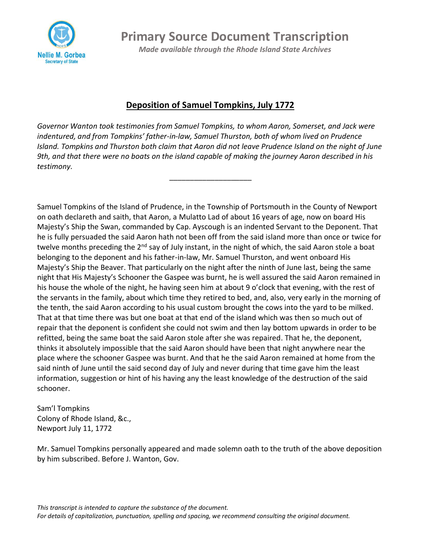

**Primary Source Document Transcription**

*Made available through the Rhode Island State Archives*

## **Deposition of Samuel Tompkins, July 1772**

*Governor Wanton took testimonies from Samuel Tompkins, to whom Aaron, Somerset, and Jack were indentured, and from Tompkins' father-in-law, Samuel Thurston, both of whom lived on Prudence Island. Tompkins and Thurston both claim that Aaron did not leave Prudence Island on the night of June 9th, and that there were no boats on the island capable of making the journey Aaron described in his testimony.*

\_\_\_\_\_\_\_\_\_\_\_\_\_\_\_\_\_\_\_\_

Samuel Tompkins of the Island of Prudence, in the Township of Portsmouth in the County of Newport on oath declareth and saith, that Aaron, a Mulatto Lad of about 16 years of age, now on board His Majesty's Ship the Swan, commanded by Cap. Ayscough is an indented Servant to the Deponent. That he is fully persuaded the said Aaron hath not been off from the said island more than once or twice for twelve months preceding the 2<sup>nd</sup> say of July instant, in the night of which, the said Aaron stole a boat belonging to the deponent and his father-in-law, Mr. Samuel Thurston, and went onboard His Majesty's Ship the Beaver. That particularly on the night after the ninth of June last, being the same night that His Majesty's Schooner the Gaspee was burnt, he is well assured the said Aaron remained in his house the whole of the night, he having seen him at about 9 o'clock that evening, with the rest of the servants in the family, about which time they retired to bed, and, also, very early in the morning of the tenth, the said Aaron according to his usual custom brought the cows into the yard to be milked. That at that time there was but one boat at that end of the island which was then so much out of repair that the deponent is confident she could not swim and then lay bottom upwards in order to be refitted, being the same boat the said Aaron stole after she was repaired. That he, the deponent, thinks it absolutely impossible that the said Aaron should have been that night anywhere near the place where the schooner Gaspee was burnt. And that he the said Aaron remained at home from the said ninth of June until the said second day of July and never during that time gave him the least information, suggestion or hint of his having any the least knowledge of the destruction of the said schooner.

Sam'l Tompkins Colony of Rhode Island, &c., Newport July 11, 1772

Mr. Samuel Tompkins personally appeared and made solemn oath to the truth of the above deposition by him subscribed. Before J. Wanton, Gov.